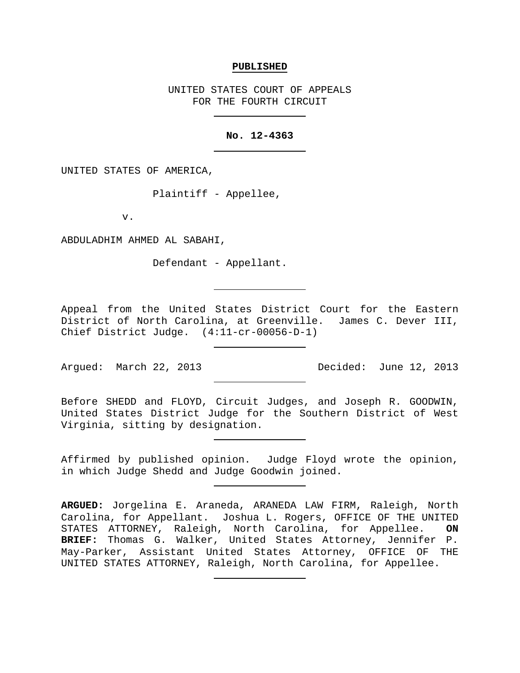#### **PUBLISHED**

UNITED STATES COURT OF APPEALS FOR THE FOURTH CIRCUIT

# **No. 12-4363**

UNITED STATES OF AMERICA,

Plaintiff - Appellee,

v.

ABDULADHIM AHMED AL SABAHI,

Defendant - Appellant.

Appeal from the United States District Court for the Eastern District of North Carolina, at Greenville. James C. Dever III, Chief District Judge. (4:11-cr-00056-D-1)

Argued: March 22, 2013 Decided: June 12, 2013

Before SHEDD and FLOYD, Circuit Judges, and Joseph R. GOODWIN, United States District Judge for the Southern District of West Virginia, sitting by designation.

Affirmed by published opinion. Judge Floyd wrote the opinion, in which Judge Shedd and Judge Goodwin joined.

**ARGUED:** Jorgelina E. Araneda, ARANEDA LAW FIRM, Raleigh, North Carolina, for Appellant. Joshua L. Rogers, OFFICE OF THE UNITED<br>STATES ATTORNEY, Raleigh, North Carolina, for Appellee. ON STATES ATTORNEY, Raleigh, North Carolina, for Appellee. **BRIEF:** Thomas G. Walker, United States Attorney, Jennifer P. May-Parker, Assistant United States Attorney, OFFICE OF THE UNITED STATES ATTORNEY, Raleigh, North Carolina, for Appellee.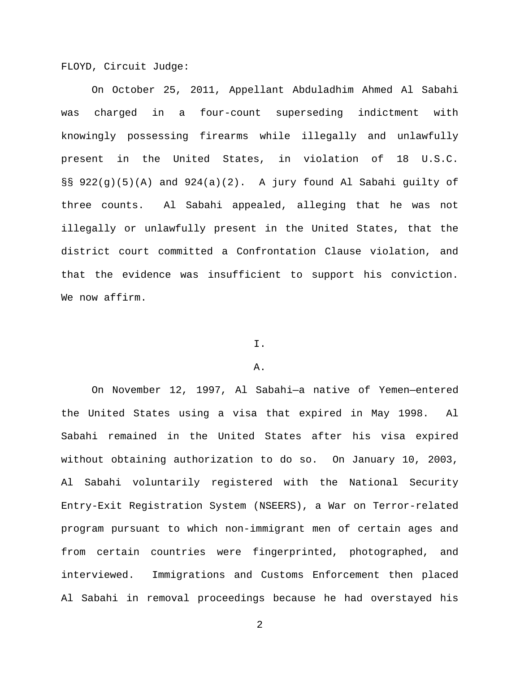FLOYD, Circuit Judge:

On October 25, 2011, Appellant Abduladhim Ahmed Al Sabahi was charged in a four-count superseding indictment with knowingly possessing firearms while illegally and unlawfully present in the United States, in violation of 18 U.S.C. §§ 922(g)(5)(A) and 924(a)(2). A jury found Al Sabahi guilty of three counts. Al Sabahi appealed, alleging that he was not illegally or unlawfully present in the United States, that the district court committed a Confrontation Clause violation, and that the evidence was insufficient to support his conviction. We now affirm.

# I.

### A.

On November 12, 1997, Al Sabahi—a native of Yemen—entered the United States using a visa that expired in May 1998. Al Sabahi remained in the United States after his visa expired without obtaining authorization to do so. On January 10, 2003, Al Sabahi voluntarily registered with the National Security Entry-Exit Registration System (NSEERS), a War on Terror-related program pursuant to which non-immigrant men of certain ages and from certain countries were fingerprinted, photographed, and interviewed. Immigrations and Customs Enforcement then placed Al Sabahi in removal proceedings because he had overstayed his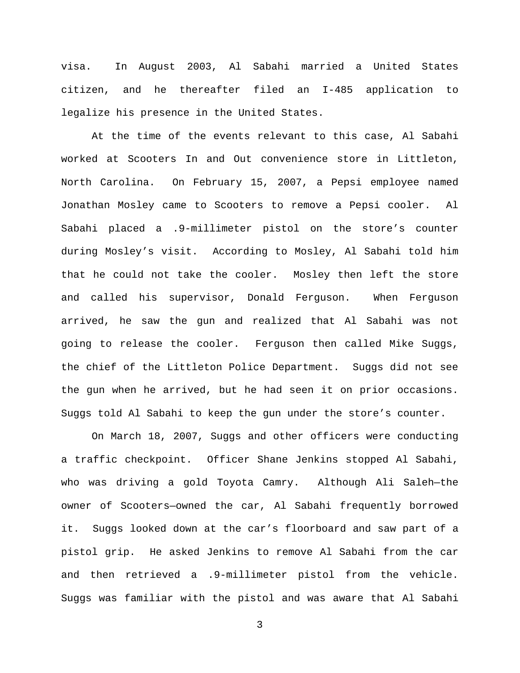visa. In August 2003, Al Sabahi married a United States citizen, and he thereafter filed an I-485 application to legalize his presence in the United States.

At the time of the events relevant to this case, Al Sabahi worked at Scooters In and Out convenience store in Littleton, North Carolina. On February 15, 2007, a Pepsi employee named Jonathan Mosley came to Scooters to remove a Pepsi cooler. Al Sabahi placed a .9-millimeter pistol on the store's counter during Mosley's visit. According to Mosley, Al Sabahi told him that he could not take the cooler. Mosley then left the store and called his supervisor, Donald Ferguson. When Ferguson arrived, he saw the gun and realized that Al Sabahi was not going to release the cooler. Ferguson then called Mike Suggs, the chief of the Littleton Police Department. Suggs did not see the gun when he arrived, but he had seen it on prior occasions. Suggs told Al Sabahi to keep the gun under the store's counter.

On March 18, 2007, Suggs and other officers were conducting a traffic checkpoint. Officer Shane Jenkins stopped Al Sabahi, who was driving a gold Toyota Camry. Although Ali Saleh—the owner of Scooters—owned the car, Al Sabahi frequently borrowed it. Suggs looked down at the car's floorboard and saw part of a pistol grip. He asked Jenkins to remove Al Sabahi from the car and then retrieved a .9-millimeter pistol from the vehicle. Suggs was familiar with the pistol and was aware that Al Sabahi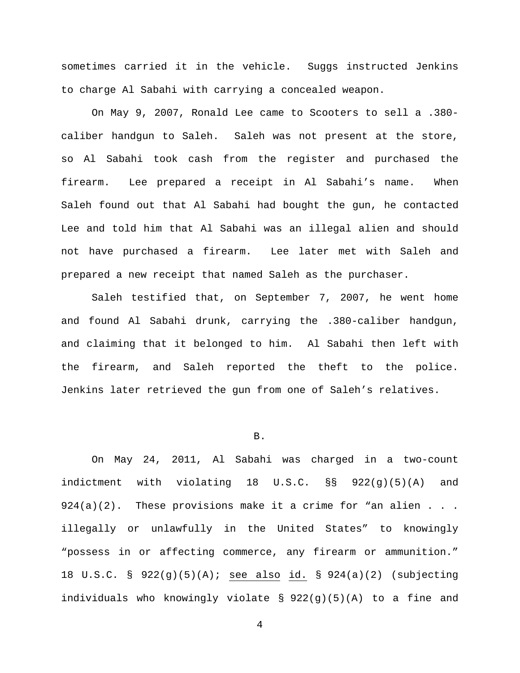sometimes carried it in the vehicle. Suggs instructed Jenkins to charge Al Sabahi with carrying a concealed weapon.

On May 9, 2007, Ronald Lee came to Scooters to sell a .380 caliber handgun to Saleh. Saleh was not present at the store, so Al Sabahi took cash from the register and purchased the firearm. Lee prepared a receipt in Al Sabahi's name. When Saleh found out that Al Sabahi had bought the gun, he contacted Lee and told him that Al Sabahi was an illegal alien and should not have purchased a firearm. Lee later met with Saleh and prepared a new receipt that named Saleh as the purchaser.

Saleh testified that, on September 7, 2007, he went home and found Al Sabahi drunk, carrying the .380-caliber handgun, and claiming that it belonged to him. Al Sabahi then left with the firearm, and Saleh reported the theft to the police. Jenkins later retrieved the gun from one of Saleh's relatives.

## B.

On May 24, 2011, Al Sabahi was charged in a two-count indictment with violating 18 U.S.C. §§ 922(g)(5)(A) and  $924(a)(2)$ . These provisions make it a crime for "an alien . . . illegally or unlawfully in the United States" to knowingly "possess in or affecting commerce, any firearm or ammunition." 18 U.S.C. § 922(g)(5)(A); see also id. § 924(a)(2) (subjecting individuals who knowingly violate § 922(g)(5)(A) to a fine and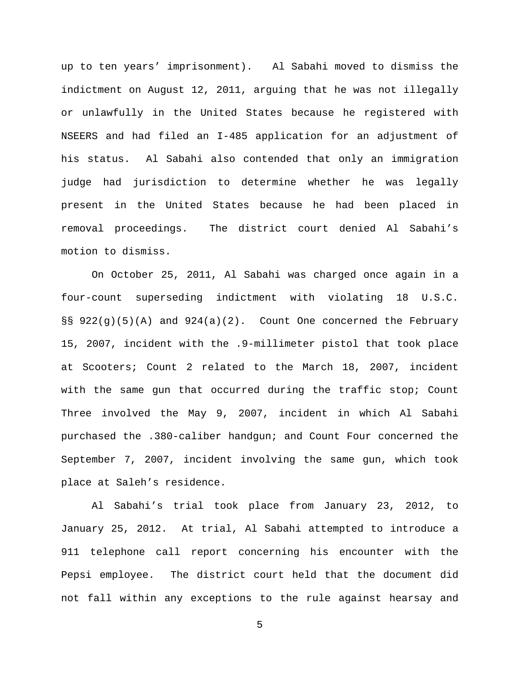up to ten years' imprisonment). Al Sabahi moved to dismiss the indictment on August 12, 2011, arguing that he was not illegally or unlawfully in the United States because he registered with NSEERS and had filed an I-485 application for an adjustment of his status. Al Sabahi also contended that only an immigration judge had jurisdiction to determine whether he was legally present in the United States because he had been placed in removal proceedings. The district court denied Al Sabahi's motion to dismiss.

On October 25, 2011, Al Sabahi was charged once again in a four-count superseding indictment with violating 18 U.S.C.  $\S$ § 922(g)(5)(A) and 924(a)(2). Count One concerned the February 15, 2007, incident with the .9-millimeter pistol that took place at Scooters; Count 2 related to the March 18, 2007, incident with the same gun that occurred during the traffic stop; Count Three involved the May 9, 2007, incident in which Al Sabahi purchased the .380-caliber handgun; and Count Four concerned the September 7, 2007, incident involving the same gun, which took place at Saleh's residence.

Al Sabahi's trial took place from January 23, 2012, to January 25, 2012. At trial, Al Sabahi attempted to introduce a 911 telephone call report concerning his encounter with the Pepsi employee. The district court held that the document did not fall within any exceptions to the rule against hearsay and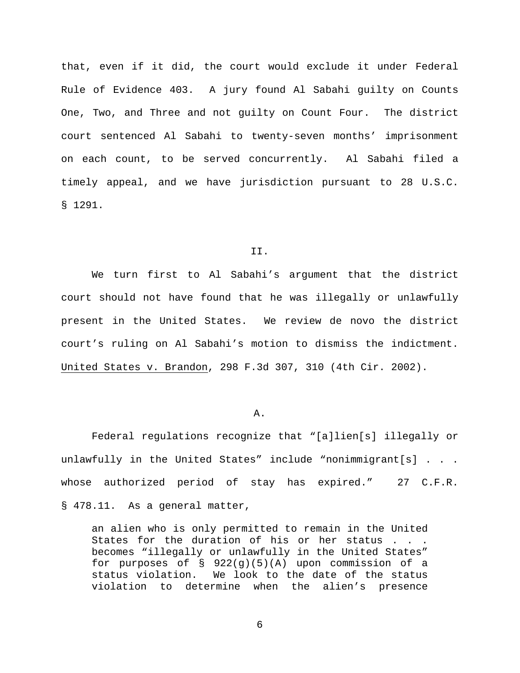that, even if it did, the court would exclude it under Federal Rule of Evidence 403. A jury found Al Sabahi guilty on Counts One, Two, and Three and not guilty on Count Four. The district court sentenced Al Sabahi to twenty-seven months' imprisonment on each count, to be served concurrently. Al Sabahi filed a timely appeal, and we have jurisdiction pursuant to 28 U.S.C. § 1291.

#### II.

We turn first to Al Sabahi's argument that the district court should not have found that he was illegally or unlawfully present in the United States. We review de novo the district court's ruling on Al Sabahi's motion to dismiss the indictment. United States v. Brandon, 298 F.3d 307, 310 (4th Cir. 2002).

#### A.

Federal regulations recognize that "[a]lien[s] illegally or unlawfully in the United States" include "nonimmigrant[s] . . . whose authorized period of stay has expired." 27 C.F.R. § 478.11. As a general matter,

an alien who is only permitted to remain in the United States for the duration of his or her status . . . becomes "illegally or unlawfully in the United States" for purposes of  $\S$  922(g)(5)(A) upon commission of a status violation. We look to the date of the status violation to determine when the alien's presence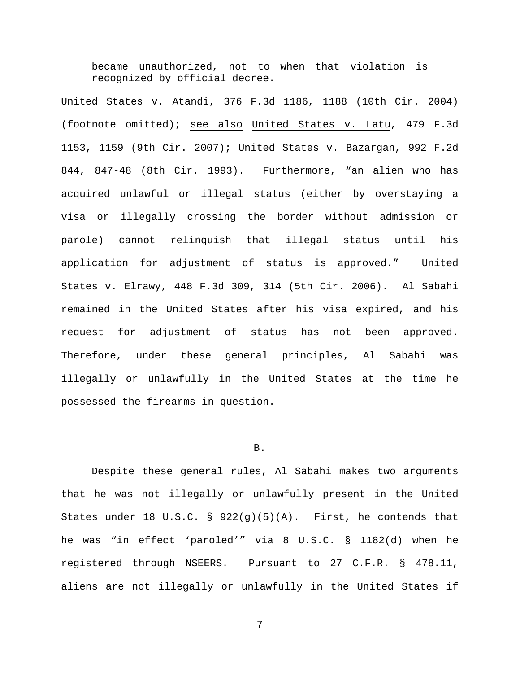became unauthorized, not to when that violation is recognized by official decree.

United States v. Atandi, 376 F.3d 1186, 1188 (10th Cir. 2004) (footnote omitted); see also United States v. Latu, 479 F.3d 1153, 1159 (9th Cir. 2007); United States v. Bazargan, 992 F.2d 844, 847-48 (8th Cir. 1993). Furthermore, "an alien who has acquired unlawful or illegal status (either by overstaying a visa or illegally crossing the border without admission or parole) cannot relinquish that illegal status until his application for adjustment of status is approved." United States v. Elrawy, 448 F.3d 309, 314 (5th Cir. 2006). Al Sabahi remained in the United States after his visa expired, and his request for adjustment of status has not been approved. Therefore, under these general principles, Al Sabahi was illegally or unlawfully in the United States at the time he possessed the firearms in question.

## B.

Despite these general rules, Al Sabahi makes two arguments that he was not illegally or unlawfully present in the United States under 18 U.S.C. §  $922(g)(5)(A)$ . First, he contends that he was "in effect 'paroled'" via 8 U.S.C. § 1182(d) when he registered through NSEERS. Pursuant to 27 C.F.R. § 478.11, aliens are not illegally or unlawfully in the United States if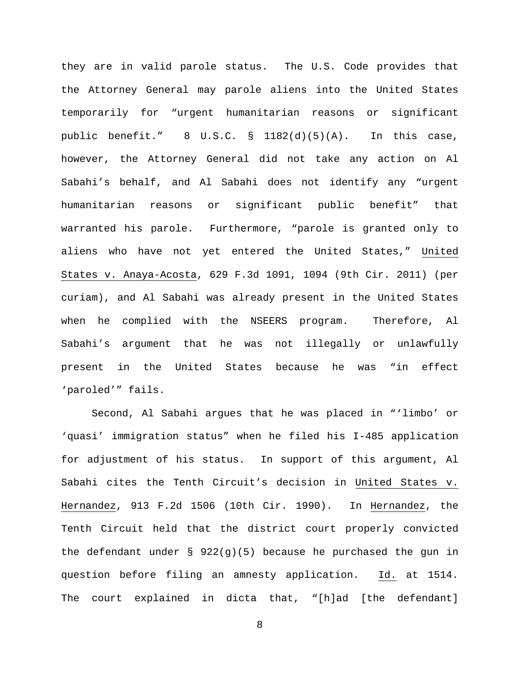they are in valid parole status. The U.S. Code provides that the Attorney General may parole aliens into the United States temporarily for "urgent humanitarian reasons or significant public benefit." 8 U.S.C. § 1182(d)(5)(A). In this case, however, the Attorney General did not take any action on Al Sabahi's behalf, and Al Sabahi does not identify any "urgent humanitarian reasons or significant public benefit" that warranted his parole. Furthermore, "parole is granted only to aliens who have not yet entered the United States," United States v. Anaya-Acosta, 629 F.3d 1091, 1094 (9th Cir. 2011) (per curiam), and Al Sabahi was already present in the United States when he complied with the NSEERS program. Therefore, Al Sabahi's argument that he was not illegally or unlawfully present in the United States because he was "in effect 'paroled'" fails.

Second, Al Sabahi argues that he was placed in "'limbo' or 'quasi' immigration status" when he filed his I-485 application for adjustment of his status. In support of this argument, Al Sabahi cites the Tenth Circuit's decision in United States v. Hernandez, 913 F.2d 1506 (10th Cir. 1990). In Hernandez, the Tenth Circuit held that the district court properly convicted the defendant under  $\S$  922(g)(5) because he purchased the gun in question before filing an amnesty application. Id. at 1514. The court explained in dicta that, "[h]ad [the defendant]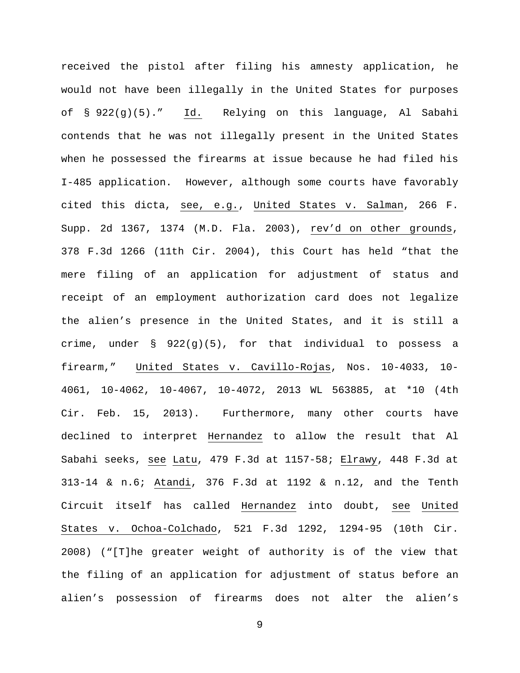received the pistol after filing his amnesty application, he would not have been illegally in the United States for purposes of § 922(g)(5)." Id. Relying on this language, Al Sabahi contends that he was not illegally present in the United States when he possessed the firearms at issue because he had filed his I-485 application. However, although some courts have favorably cited this dicta, see, e.g., United States v. Salman, 266 F. Supp. 2d 1367, 1374 (M.D. Fla. 2003), rev'd on other grounds, 378 F.3d 1266 (11th Cir. 2004), this Court has held "that the mere filing of an application for adjustment of status and receipt of an employment authorization card does not legalize the alien's presence in the United States, and it is still a crime, under  $\S$  922(g)(5), for that individual to possess a firearm," United States v. Cavillo-Rojas, Nos. 10-4033, 10- 4061, 10-4062, 10-4067, 10-4072, 2013 WL 563885, at \*10 (4th Cir. Feb. 15, 2013). Furthermore, many other courts have declined to interpret Hernandez to allow the result that Al Sabahi seeks, see Latu, 479 F.3d at 1157-58; Elrawy, 448 F.3d at 313-14 & n.6; Atandi, 376 F.3d at 1192 & n.12, and the Tenth Circuit itself has called Hernandez into doubt, see United States v. Ochoa-Colchado, 521 F.3d 1292, 1294-95 (10th Cir. 2008) ("[T]he greater weight of authority is of the view that the filing of an application for adjustment of status before an alien's possession of firearms does not alter the alien's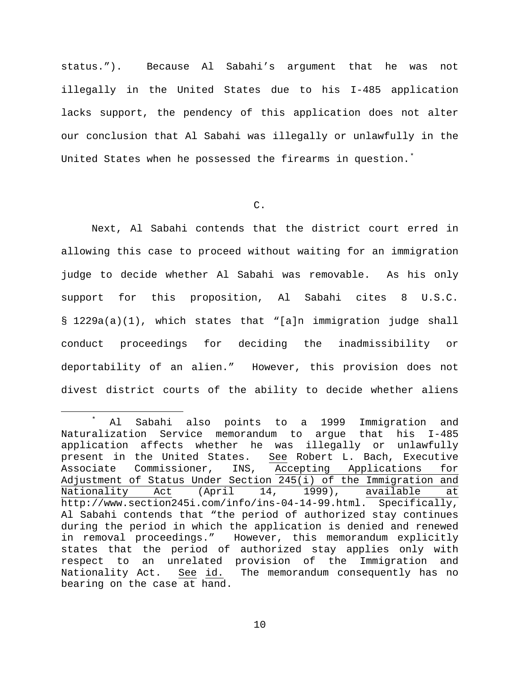status."). Because Al Sabahi's argument that he was not illegally in the United States due to his I-485 application lacks support, the pendency of this application does not alter our conclusion that Al Sabahi was illegally or unlawfully in the United States when he possessed the firearms in question.<sup>[\\*](#page-9-0)</sup>

C.

Next, Al Sabahi contends that the district court erred in allowing this case to proceed without waiting for an immigration judge to decide whether Al Sabahi was removable. As his only support for this proposition, Al Sabahi cites 8 U.S.C. § 1229a(a)(1), which states that "[a]n immigration judge shall conduct proceedings for deciding the inadmissibility or deportability of an alien." However, this provision does not divest district courts of the ability to decide whether aliens

<span id="page-9-0"></span> <sup>\*</sup> Al Sabahi also points to a 1999 Immigration and Naturalization Service memorandum to argue that his I-485 application affects whether he was illegally or unlawfully present in the United States. See Robert L. Bach, Executive Associate Commissioner, INS, Accepting Applications for Adjustment of Status Under Section 245(i) of the Immigration and<br>Nationality Act (April 14, 1999), available at (April 14, 1999), available at http://www.section245i.com/info/ins-04-14-99.html. Specifically, Al Sabahi contends that "the period of authorized stay continues during the period in which the application is denied and renewed in removal proceedings." However, this memorandum explicitly states that the period of authorized stay applies only with respect to an unrelated provision of the Immigration and<br>Nationality Act. See id. The memorandum consequently has no See id. The memorandum consequently has no bearing on the case at hand.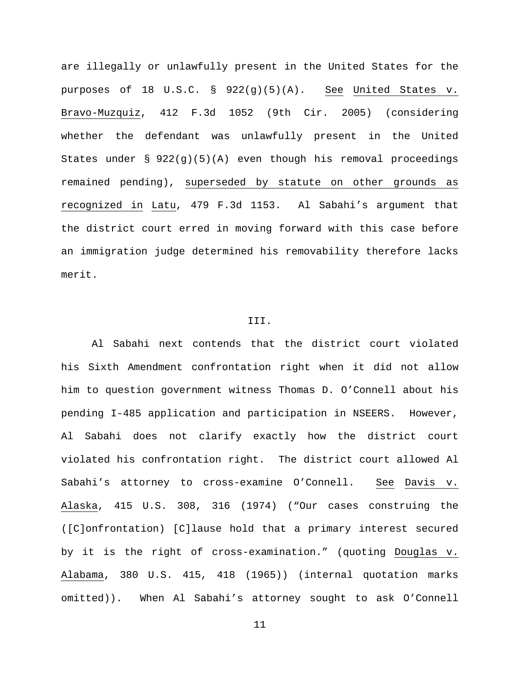are illegally or unlawfully present in the United States for the purposes of 18 U.S.C. § 922(g)(5)(A). See United States v. Bravo-Muzquiz, 412 F.3d 1052 (9th Cir. 2005) (considering whether the defendant was unlawfully present in the United States under  $\S$  922(g)(5)(A) even though his removal proceedings remained pending), superseded by statute on other grounds as recognized in Latu, 479 F.3d 1153. Al Sabahi's argument that the district court erred in moving forward with this case before an immigration judge determined his removability therefore lacks merit.

### III.

Al Sabahi next contends that the district court violated his Sixth Amendment confrontation right when it did not allow him to question government witness Thomas D. O'Connell about his pending I-485 application and participation in NSEERS. However, Al Sabahi does not clarify exactly how the district court violated his confrontation right. The district court allowed Al Sabahi's attorney to cross-examine O'Connell. See Davis v. Alaska, 415 U.S. 308, 316 (1974) ("Our cases construing the ([C]onfrontation) [C]lause hold that a primary interest secured by it is the right of cross-examination." (quoting Douglas v. Alabama, 380 U.S. 415, 418 (1965)) (internal quotation marks omitted)). When Al Sabahi's attorney sought to ask O'Connell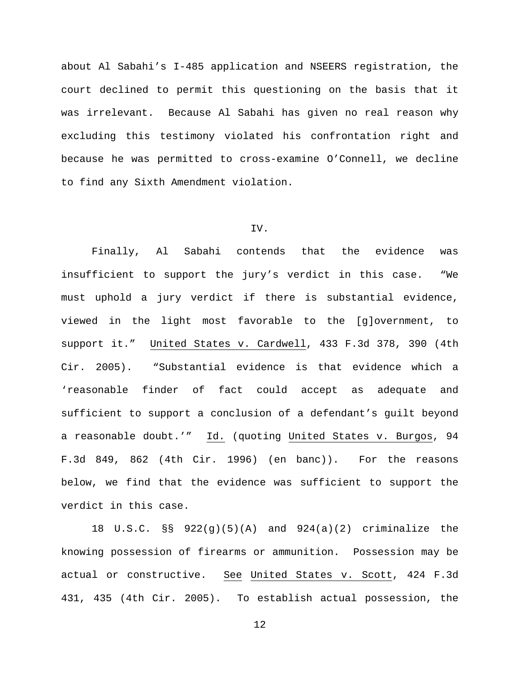about Al Sabahi's I-485 application and NSEERS registration, the court declined to permit this questioning on the basis that it was irrelevant. Because Al Sabahi has given no real reason why excluding this testimony violated his confrontation right and because he was permitted to cross-examine O'Connell, we decline to find any Sixth Amendment violation.

# IV.

Finally, Al Sabahi contends that the evidence was insufficient to support the jury's verdict in this case. "We must uphold a jury verdict if there is substantial evidence, viewed in the light most favorable to the [g]overnment, to support it." United States v. Cardwell, 433 F.3d 378, 390 (4th Cir. 2005). "Substantial evidence is that evidence which a 'reasonable finder of fact could accept as adequate and sufficient to support a conclusion of a defendant's guilt beyond a reasonable doubt.'" Id. (quoting United States v. Burgos, 94 F.3d 849, 862 (4th Cir. 1996) (en banc)). For the reasons below, we find that the evidence was sufficient to support the verdict in this case.

18 U.S.C. §§ 922(g)(5)(A) and 924(a)(2) criminalize the knowing possession of firearms or ammunition. Possession may be actual or constructive. See United States v. Scott, 424 F.3d 431, 435 (4th Cir. 2005). To establish actual possession, the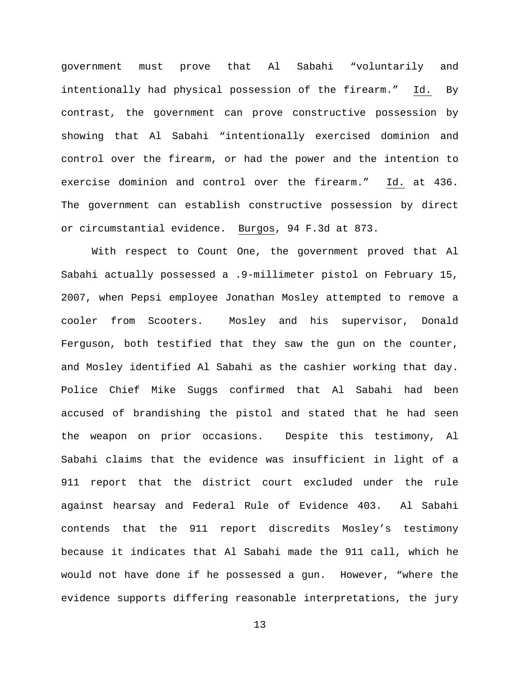government must prove that Al Sabahi "voluntarily and intentionally had physical possession of the firearm." Id. By contrast, the government can prove constructive possession by showing that Al Sabahi "intentionally exercised dominion and control over the firearm, or had the power and the intention to exercise dominion and control over the firearm." Id. at 436. The government can establish constructive possession by direct or circumstantial evidence. Burgos, 94 F.3d at 873.

With respect to Count One, the government proved that Al Sabahi actually possessed a .9-millimeter pistol on February 15, 2007, when Pepsi employee Jonathan Mosley attempted to remove a cooler from Scooters. Mosley and his supervisor, Donald Ferguson, both testified that they saw the gun on the counter, and Mosley identified Al Sabahi as the cashier working that day. Police Chief Mike Suggs confirmed that Al Sabahi had been accused of brandishing the pistol and stated that he had seen the weapon on prior occasions. Despite this testimony, Al Sabahi claims that the evidence was insufficient in light of a 911 report that the district court excluded under the rule against hearsay and Federal Rule of Evidence 403. Al Sabahi contends that the 911 report discredits Mosley's testimony because it indicates that Al Sabahi made the 911 call, which he would not have done if he possessed a gun. However, "where the evidence supports differing reasonable interpretations, the jury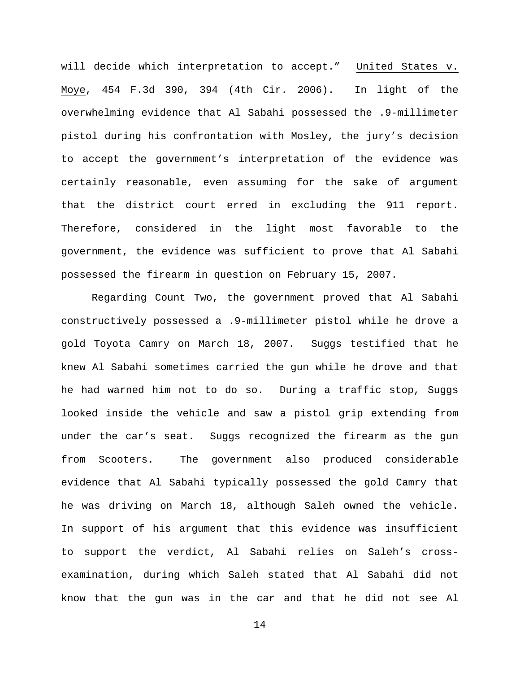will decide which interpretation to accept." United States v. Moye, 454 F.3d 390, 394 (4th Cir. 2006). In light of the overwhelming evidence that Al Sabahi possessed the .9-millimeter pistol during his confrontation with Mosley, the jury's decision to accept the government's interpretation of the evidence was certainly reasonable, even assuming for the sake of argument that the district court erred in excluding the 911 report. Therefore, considered in the light most favorable to the government, the evidence was sufficient to prove that Al Sabahi possessed the firearm in question on February 15, 2007.

Regarding Count Two, the government proved that Al Sabahi constructively possessed a .9-millimeter pistol while he drove a gold Toyota Camry on March 18, 2007. Suggs testified that he knew Al Sabahi sometimes carried the gun while he drove and that he had warned him not to do so. During a traffic stop, Suggs looked inside the vehicle and saw a pistol grip extending from under the car's seat. Suggs recognized the firearm as the gun from Scooters. The government also produced considerable evidence that Al Sabahi typically possessed the gold Camry that he was driving on March 18, although Saleh owned the vehicle. In support of his argument that this evidence was insufficient to support the verdict, Al Sabahi relies on Saleh's crossexamination, during which Saleh stated that Al Sabahi did not know that the gun was in the car and that he did not see Al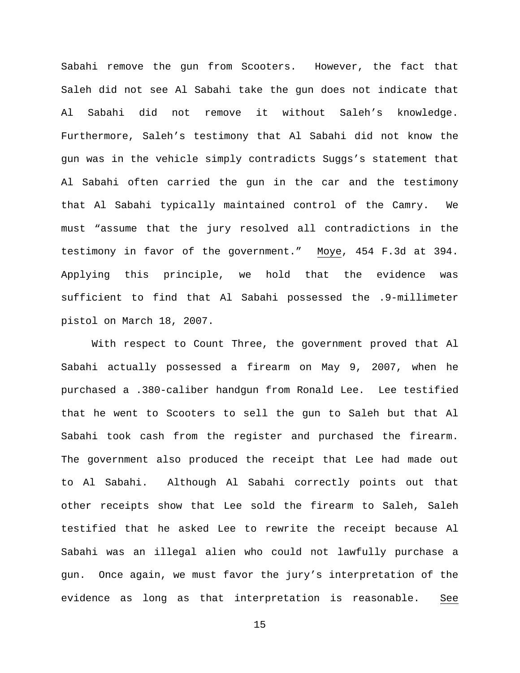Sabahi remove the gun from Scooters. However, the fact that Saleh did not see Al Sabahi take the gun does not indicate that Al Sabahi did not remove it without Saleh's knowledge. Furthermore, Saleh's testimony that Al Sabahi did not know the gun was in the vehicle simply contradicts Suggs's statement that Al Sabahi often carried the gun in the car and the testimony that Al Sabahi typically maintained control of the Camry. We must "assume that the jury resolved all contradictions in the testimony in favor of the government." Moye, 454 F.3d at 394. Applying this principle, we hold that the evidence was sufficient to find that Al Sabahi possessed the .9-millimeter pistol on March 18, 2007.

With respect to Count Three, the government proved that Al Sabahi actually possessed a firearm on May 9, 2007, when he purchased a .380-caliber handgun from Ronald Lee. Lee testified that he went to Scooters to sell the gun to Saleh but that Al Sabahi took cash from the register and purchased the firearm. The government also produced the receipt that Lee had made out to Al Sabahi. Although Al Sabahi correctly points out that other receipts show that Lee sold the firearm to Saleh, Saleh testified that he asked Lee to rewrite the receipt because Al Sabahi was an illegal alien who could not lawfully purchase a gun. Once again, we must favor the jury's interpretation of the evidence as long as that interpretation is reasonable. See